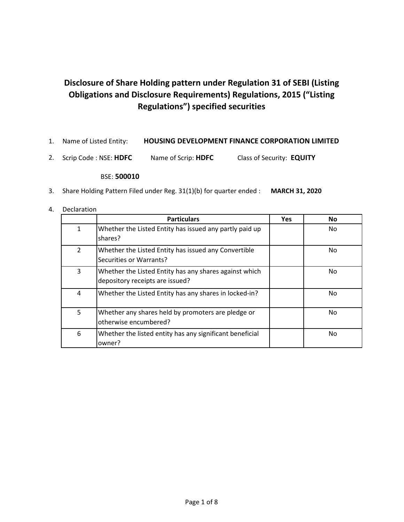## **Disclosure of Share Holding pattern under Regulation 31 of SEBI (Listing Obligations and Disclosure Requirements) Regulations, 2015 ("Listing Regulations") specified securities**

- 1. Name of Listed Entity: **HOUSING DEVELOPMENT FINANCE CORPORATION LIMITED**
- 2. Scrip Code : NSE: **HDFC** Name of Scrip: **HDFC** Class of Security: **EQUITY**

## BSE: **500010**

- 3. Share Holding Pattern Filed under Reg. 31(1)(b) for quarter ended : **MARCH 31, 2020**
- 4. Declaration

|                | <b>Particulars</b>                                                                        | <b>Yes</b> | <b>No</b> |
|----------------|-------------------------------------------------------------------------------------------|------------|-----------|
| $\mathbf{1}$   | Whether the Listed Entity has issued any partly paid up<br>shares?                        |            | No.       |
| $\overline{2}$ | Whether the Listed Entity has issued any Convertible<br>Securities or Warrants?           |            | No.       |
| 3              | Whether the Listed Entity has any shares against which<br>depository receipts are issued? |            | No.       |
| 4              | Whether the Listed Entity has any shares in locked-in?                                    |            | No        |
| 5              | Whether any shares held by promoters are pledge or<br>otherwise encumbered?               |            | No.       |
| 6              | Whether the listed entity has any significant beneficial<br>owner?                        |            | No        |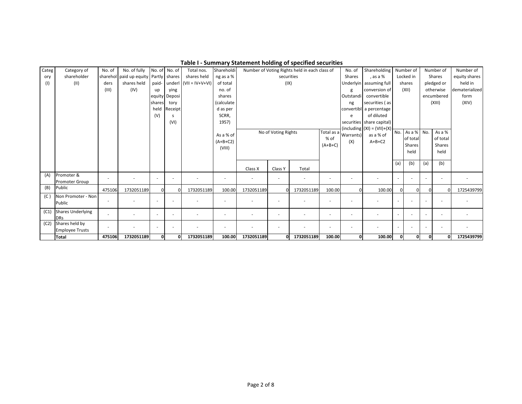| Categ | Category of              | No. of                   | No. of fully                 | No. of No. of |                          | Total nos.               | Shareholdi |                          |                          | Number of Voting Rights held in each class of |                          | No. of                   | Shareholding                      |                          | Number of      |                          | Number of  | Number of      |
|-------|--------------------------|--------------------------|------------------------------|---------------|--------------------------|--------------------------|------------|--------------------------|--------------------------|-----------------------------------------------|--------------------------|--------------------------|-----------------------------------|--------------------------|----------------|--------------------------|------------|----------------|
| ory   | shareholder              | sharehol                 | paid up equity Partly shares |               |                          | shares held              | ng as a %  |                          | securities               |                                               |                          | Shares                   | , as a %                          |                          | Locked in      |                          | Shares     | equity shares  |
| (1)   | (II)                     | ders                     | shares held                  | paid-         | underl                   | $(VII = IV+V+VI)$        | of total   |                          | (IX)                     |                                               |                          |                          | Underlyin assuming full           |                          | shares         |                          | pledged or | held in        |
|       |                          | (III)                    | (IV)                         | up            | ying                     |                          | no. of     |                          |                          |                                               |                          |                          | conversion of                     |                          | (XII)          |                          | otherwise  | dematerialized |
|       |                          |                          |                              |               | equity Deposi            |                          | shares     | Outstandi                |                          |                                               |                          |                          | convertible                       |                          |                |                          | encumbered | form           |
|       |                          |                          |                              | shares        | tory                     |                          | (calculate |                          |                          |                                               |                          | ng                       | securities (as                    |                          |                |                          | (XIII)     | (XIV)          |
|       |                          |                          |                              |               | held Receipt             |                          | d as per   |                          |                          |                                               |                          |                          | convertibl a percentage           |                          |                |                          |            |                |
|       |                          |                          |                              | (V)           | <sub>S</sub>             |                          | SCRR,      |                          |                          |                                               |                          | e                        | of diluted                        |                          |                |                          |            |                |
|       |                          |                          |                              |               | (VI)                     |                          | 1957)      |                          |                          |                                               |                          |                          | securities share capital)         |                          |                |                          |            |                |
|       |                          |                          |                              |               |                          |                          |            |                          | No of Voting Rights      |                                               |                          |                          | $(including   (XI) = (VII)+(X)).$ | No.                      | As a $%$ No.   |                          | As a %     |                |
|       |                          |                          |                              |               |                          |                          | As a % of  |                          |                          |                                               | % of                     | Total as a Warrants)     | as a % of                         |                          | of total       |                          | of total   |                |
|       |                          |                          |                              |               |                          |                          | $(A+B+C2)$ |                          |                          |                                               | $(A+B+C)$                | (X)                      | $A+B+C2$                          |                          | Shares         |                          | Shares     |                |
|       |                          |                          |                              |               |                          |                          | (VIII)     |                          |                          |                                               |                          |                          |                                   |                          | held           |                          | held       |                |
|       |                          |                          |                              |               |                          |                          |            |                          |                          |                                               |                          |                          |                                   |                          |                |                          |            |                |
|       |                          |                          |                              |               |                          |                          |            |                          |                          |                                               |                          |                          |                                   | (a)                      | (b)            | (a)                      | (b)        |                |
|       |                          |                          |                              |               |                          |                          |            | Class X                  | Class Y                  | Total                                         |                          |                          |                                   |                          |                |                          |            |                |
| (A)   | Promoter &               |                          |                              |               | $\overline{\phantom{a}}$ | $\overline{\phantom{a}}$ |            | $\overline{a}$           | $\overline{\phantom{a}}$ | $\sim$                                        |                          | $\overline{\phantom{a}}$ |                                   | $\blacksquare$           |                |                          |            |                |
|       | <b>Promoter Group</b>    |                          |                              |               |                          |                          |            |                          |                          |                                               |                          |                          |                                   |                          |                |                          |            |                |
| (B)   | Public                   | 475106                   | 1732051189                   | $\Omega$      | $\Omega$                 | 1732051189               | 100.00     | 1732051189               | $\Omega$                 | 1732051189                                    | 100.00                   |                          | 100.00                            | ΩI                       | 01             | $\Omega$                 | $\Omega$   | 1725439799     |
| (C)   | Non Promoter - Non       |                          |                              |               |                          |                          |            |                          |                          |                                               |                          |                          |                                   |                          |                |                          |            |                |
|       | Public                   |                          |                              |               | $\overline{\phantom{a}}$ |                          |            |                          | $\overline{a}$           |                                               |                          | ٠                        |                                   |                          |                |                          |            |                |
| (C1)  | <b>Shares Underlying</b> |                          |                              |               |                          |                          |            |                          |                          |                                               |                          |                          |                                   |                          |                |                          |            |                |
|       | <b>DRs</b>               |                          |                              |               | $\sim$                   | $\overline{\phantom{a}}$ |            | $\overline{\phantom{a}}$ | $\overline{\phantom{a}}$ | $\overline{\phantom{a}}$                      | $\overline{\phantom{a}}$ | $\overline{\phantom{a}}$ |                                   | $\sim$                   | $\overline{a}$ | $\overline{\phantom{a}}$ |            |                |
| (C2)  | Shares held by           | $\overline{\phantom{a}}$ |                              |               | $\overline{\phantom{a}}$ | $\overline{\phantom{a}}$ |            | ٠                        | $\overline{\phantom{a}}$ | $\overline{\phantom{a}}$                      |                          | $\overline{\phantom{a}}$ |                                   | $\overline{\phantom{a}}$ |                |                          |            |                |
|       | <b>Employee Trusts</b>   |                          |                              |               |                          |                          |            |                          |                          |                                               |                          |                          |                                   |                          |                |                          |            |                |
|       | <b>Total</b>             | 475106                   | 1732051189                   | 0l            | $\Omega$                 | 1732051189               | 100.00     | 1732051189               | ΩI                       | 1732051189                                    | 100.00                   | ΩI                       | 100.00                            | ΩL                       | 0              | οl                       | $\Omega$   | 1725439799     |

**Table I - Summary Statement holding of specified securities**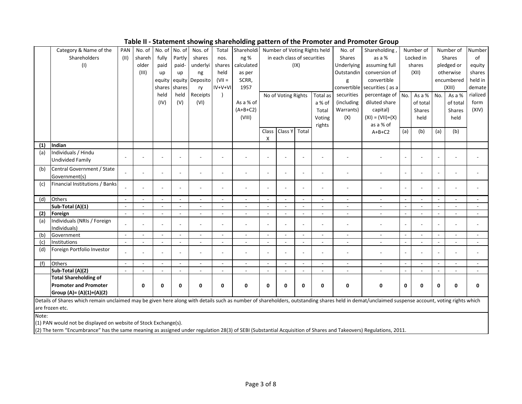**Table II - Statement showing shareholding pattern of the Promoter and Promoter Group**

|       | Category & Name of the                                                                                                                                                                         | PAN    | No. of | No. of   | No. of         | Nos. of                  | Total                    | Shareholdi               |                          | Number of Voting Rights held |                          |          | No. of        | Shareholding                 |        | Number of     |                | Number of     | Number         |
|-------|------------------------------------------------------------------------------------------------------------------------------------------------------------------------------------------------|--------|--------|----------|----------------|--------------------------|--------------------------|--------------------------|--------------------------|------------------------------|--------------------------|----------|---------------|------------------------------|--------|---------------|----------------|---------------|----------------|
|       | Shareholders                                                                                                                                                                                   | (11)   | shareh | fully    | Partly         | shares                   | nos.                     | ng %                     |                          | in each class of securities  |                          |          | <b>Shares</b> | as a %                       |        | Locked in     |                | <b>Shares</b> | of             |
|       | (1)                                                                                                                                                                                            |        | older  | paid     | paid-          | underlyi                 | shares                   | calculated               |                          |                              | (IX)                     |          | Underlying    | assuming full                |        | shares        |                | pledged or    | equity         |
|       |                                                                                                                                                                                                |        | (III)  | up       | up             | ng                       | held                     | as per                   |                          |                              |                          |          | Outstandin    | conversion of                |        | (XII)         |                | otherwise     | shares         |
|       |                                                                                                                                                                                                |        |        | equity   | equity         | Deposito                 | $(VII =$                 | SCRR,                    |                          |                              |                          |          | g             | convertible                  |        |               |                | encumbered    | held in        |
|       |                                                                                                                                                                                                |        |        | shares   | shares         | ry                       | $IV+V+VI$                | 1957                     |                          |                              |                          |          |               | convertible securities (as a |        |               |                | (XIII)        | demate         |
|       |                                                                                                                                                                                                |        |        | held     | held           | Receipts                 |                          |                          |                          | No of Voting Rights          |                          | Total as | securities    | percentage of                | No.    | As a % No.    |                | As a %        | rialized       |
|       |                                                                                                                                                                                                |        |        | (IV)     | (V)            | (VI)                     |                          | As a % of                |                          |                              |                          | a % of   | (including    | diluted share                |        | of total      |                | of total      | form           |
|       |                                                                                                                                                                                                |        |        |          |                |                          |                          | $(A+B+C2)$               |                          |                              |                          | Total    | Warrants)     | capital)                     |        | <b>Shares</b> |                | <b>Shares</b> | (XIV)          |
|       |                                                                                                                                                                                                |        |        |          |                |                          |                          | (VIII)                   |                          |                              |                          | Voting   | (X)           | $(XI) = (VII)+(X)$           |        | held          |                | held          |                |
|       |                                                                                                                                                                                                |        |        |          |                |                          |                          |                          |                          |                              |                          | rights   |               | as a % of                    |        |               |                |               |                |
|       |                                                                                                                                                                                                |        |        |          |                |                          |                          |                          | Class                    | Class Y Total                |                          |          |               | $A+B+C2$                     | (a)    | (b)           | (a)            | (b)           |                |
|       |                                                                                                                                                                                                |        |        |          |                |                          |                          |                          | X                        |                              |                          |          |               |                              |        |               |                |               |                |
| (1)   | Indian                                                                                                                                                                                         |        |        |          |                |                          |                          |                          |                          |                              |                          |          |               |                              |        |               |                |               |                |
| (a)   | Individuals / Hindu                                                                                                                                                                            |        |        |          |                |                          |                          |                          | $\overline{\phantom{a}}$ |                              | $\overline{\phantom{a}}$ |          |               |                              |        |               |                |               |                |
|       | <b>Undivided Family</b>                                                                                                                                                                        |        |        |          |                |                          |                          |                          |                          |                              |                          |          |               |                              |        |               |                |               |                |
| (b)   | Central Government / State                                                                                                                                                                     |        |        |          |                |                          |                          |                          |                          |                              |                          |          |               |                              |        |               |                |               |                |
|       | Government(s)                                                                                                                                                                                  |        |        |          |                |                          |                          |                          |                          |                              |                          |          |               |                              |        |               |                |               |                |
| (c)   | Financial Institutions / Banks                                                                                                                                                                 |        |        |          | ÷.             |                          |                          |                          |                          |                              |                          |          |               |                              |        |               |                |               |                |
|       |                                                                                                                                                                                                |        |        |          |                |                          |                          |                          |                          |                              |                          |          |               |                              |        |               |                |               |                |
| (d)   | Others                                                                                                                                                                                         | $\sim$ | $\sim$ | $\sim$   | $\blacksquare$ | ÷,                       | $\overline{\phantom{a}}$ | $\overline{\phantom{a}}$ | $\sim$                   | $\sim$                       | $\sim$                   | ÷,       |               |                              |        |               |                |               | $\blacksquare$ |
|       | Sub-Total (A)(1)                                                                                                                                                                               | $\sim$ | $\sim$ |          | $\sim$         | ÷.                       |                          | ÷.                       | $\sim$                   | ÷.                           | $\sim$                   | ä,       |               |                              | ÷.     |               | $\overline{a}$ |               | ×.             |
| (2)   | Foreign                                                                                                                                                                                        | $\sim$ | ×.     |          | $\sim$         |                          |                          | $\sim$                   | $\sim$                   |                              | $\overline{a}$           |          |               |                              | $\sim$ |               | $\overline{a}$ |               |                |
| (a)   | Individuals (NRIs / Foreign                                                                                                                                                                    |        |        |          |                |                          |                          |                          |                          |                              |                          |          |               |                              |        |               |                |               |                |
|       | Individuals)                                                                                                                                                                                   |        |        |          |                |                          |                          |                          |                          |                              |                          |          |               |                              |        |               |                |               |                |
| (b)   | Government                                                                                                                                                                                     | $\sim$ | $\sim$ | ÷        | $\sim$         | $\overline{\phantom{a}}$ | $\sim$                   | ÷.                       | ÷.                       |                              | $\sim$                   |          |               | $\sim$                       |        |               |                |               |                |
| (c)   | Institutions                                                                                                                                                                                   | $\sim$ | $\sim$ | $\sim$   | $\sim$         | ÷,                       | $\sim$                   | $\sim$                   | $\sim$                   | $\sim$                       | $\sim$                   | ÷        | $\sim$        |                              |        | ÷.            |                |               |                |
| (d)   | Foreign Portfolio Investor                                                                                                                                                                     |        |        |          | ÷.             |                          |                          |                          |                          |                              |                          |          |               |                              |        |               |                |               |                |
| (f)   | Others                                                                                                                                                                                         |        |        |          | $\sim$         |                          |                          |                          | ÷.                       |                              | $\overline{a}$           |          |               |                              |        |               |                |               |                |
|       | Sub-Total (A)(2)                                                                                                                                                                               | $\sim$ |        |          | $\sim$         |                          |                          | $\overline{a}$           | $\sim$                   |                              | $\overline{a}$           |          |               |                              |        |               |                |               |                |
|       | <b>Total Shareholding of</b>                                                                                                                                                                   |        |        |          |                |                          |                          |                          |                          |                              |                          |          |               |                              |        |               |                |               |                |
|       | <b>Promoter and Promoter</b>                                                                                                                                                                   |        | 0      | $\Omega$ | $\mathbf{0}$   | 0                        | 0                        | 0                        | 0                        | $\Omega$                     | $\mathbf{0}$             | 0        | 0             | 0                            | 0      | 0             | 0              | 0             | 0              |
|       | Group (A)= (A)(1)+(A)(2)                                                                                                                                                                       |        |        |          |                |                          |                          |                          |                          |                              |                          |          |               |                              |        |               |                |               |                |
|       | Details of Shares which remain unclaimed may be given here along with details such as number of shareholders, outstanding shares held in demat/unclaimed suspense account, voting rights which |        |        |          |                |                          |                          |                          |                          |                              |                          |          |               |                              |        |               |                |               |                |
|       | are frozen etc.                                                                                                                                                                                |        |        |          |                |                          |                          |                          |                          |                              |                          |          |               |                              |        |               |                |               |                |
| Note: |                                                                                                                                                                                                |        |        |          |                |                          |                          |                          |                          |                              |                          |          |               |                              |        |               |                |               |                |

(1) PAN would not be displayed on website of Stock Exchange(s).

(2) The term "Encumbrance" has the same meaning as assigned under regulation 28(3) of SEBI (Substantial Acquisition of Shares and Takeovers) Regulations, 2011.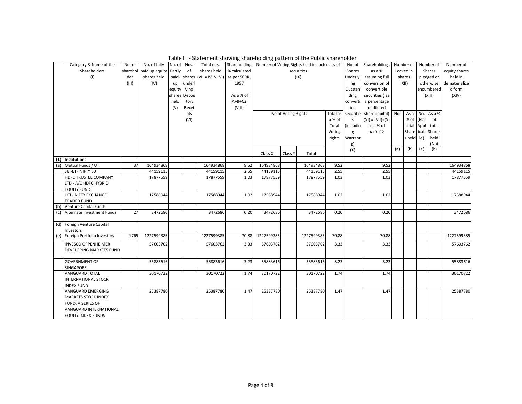|     | Category & Name of the         | No. of | No. of fully            | No. of | Nos.   | Total nos.                     |              |            |                     | Shareholding   Number of Voting Rights held in each class of |          |               | No. of Shareholding |     | Number of  |     | Number of     | Number of     |
|-----|--------------------------------|--------|-------------------------|--------|--------|--------------------------------|--------------|------------|---------------------|--------------------------------------------------------------|----------|---------------|---------------------|-----|------------|-----|---------------|---------------|
|     | Shareholders                   |        | sharehol paid up equity | Partly | of     | shares held                    | % calculated |            |                     | securities                                                   |          | <b>Shares</b> | as a %              |     | Locked in  |     | Shares        | equity shares |
|     | (1)                            | der    | shares held             | paid-  | shares | $(VII = IV+V+VI)$ as per SCRR, |              |            |                     | (IX)                                                         |          | Underlyi      | assuming full       |     | shares     |     | pledged or    | held in       |
|     |                                | (III)  | (IV)                    |        | underl |                                | 1957         |            |                     |                                                              |          |               | conversion of       |     | (XII)      |     | otherwise     | dematerialize |
|     |                                |        |                         | up     |        |                                |              |            |                     |                                                              |          | ng<br>Outstan | convertible         |     |            |     |               | d form        |
|     |                                |        |                         | equity | ying   |                                |              |            |                     |                                                              |          |               |                     |     |            |     | encumbered    | (XIV)         |
|     |                                |        |                         | shares | Depos  |                                | As a % of    |            |                     |                                                              |          | ding          | securities (as      |     |            |     | (XIII)        |               |
|     |                                |        |                         | held   | itory  |                                | $(A+B+C2)$   |            |                     |                                                              |          | converti      | a percentage        |     |            |     |               |               |
|     |                                |        |                         | (V)    | Recei  |                                | (VIII)       |            |                     |                                                              |          | ble           | of diluted          |     |            |     |               |               |
|     |                                |        |                         |        | pts    |                                |              |            | No of Voting Rights |                                                              | Total as | securitie     | share capital)      | No. | Asa        |     | No. As a %    |               |
|     |                                |        |                         |        | (VI)   |                                |              |            |                     |                                                              | a % of   | $\mathsf S$   | $(XI) = (VII)+(X)$  |     | % of (Not  |     | of            |               |
|     |                                |        |                         |        |        |                                |              |            |                     |                                                              | Total    | (includin     | as a % of           |     | total Appl |     | total         |               |
|     |                                |        |                         |        |        |                                |              |            |                     |                                                              | Voting   | g             | $A+B+C2$            |     | Share icab |     | <b>Shares</b> |               |
|     |                                |        |                         |        |        |                                |              |            |                     |                                                              | rights   | Warrant       |                     |     | s held     | le) | held          |               |
|     |                                |        |                         |        |        |                                |              |            |                     |                                                              |          | s)            |                     |     |            |     | (Not          |               |
|     |                                |        |                         |        |        |                                |              | Class X    | Class Y             | Total                                                        |          | (X)           |                     | (a) | (b)        | (a) | (b)           |               |
|     | (1) Institutions               |        |                         |        |        |                                |              |            |                     |                                                              |          |               |                     |     |            |     |               |               |
| (a) | Mutual Funds / UTI             | 37     | 164934868               |        |        | 164934868                      | 9.52         | 164934868  |                     | 164934868                                                    | 9.52     |               | 9.52                |     |            |     |               | 164934868     |
|     | SBI-ETF NIFTY 50               |        | 44159115                |        |        | 44159115                       | 2.55         | 44159115   |                     | 44159115                                                     | 2.55     |               | 2.55                |     |            |     |               | 44159115      |
|     | HDFC TRUSTEE COMPANY           |        | 17877559                |        |        | 17877559                       | 1.03         | 17877559   |                     | 17877559                                                     | 1.03     |               | 1.03                |     |            |     |               | 17877559      |
|     | LTD - A/C HDFC HYBRID          |        |                         |        |        |                                |              |            |                     |                                                              |          |               |                     |     |            |     |               |               |
|     | <b>EQUITY FUND</b>             |        |                         |        |        |                                |              |            |                     |                                                              |          |               |                     |     |            |     |               |               |
|     | UTI - NIFTY EXCHANGE           |        | 17588944                |        |        | 17588944                       | 1.02         | 17588944   |                     | 17588944                                                     | 1.02     |               | 1.02                |     |            |     |               | 17588944      |
|     | <b>TRADED FUND</b>             |        |                         |        |        |                                |              |            |                     |                                                              |          |               |                     |     |            |     |               |               |
| (b) | <b>Venture Capital Funds</b>   |        |                         |        |        |                                |              |            |                     |                                                              |          |               |                     |     |            |     |               |               |
| (c) | Alternate Investment Funds     | 27     | 3472686                 |        |        | 3472686                        | 0.20         | 3472686    |                     | 3472686                                                      | 0.20     |               | 0.20                |     |            |     |               | 3472686       |
|     | (d) Foreign Venture Capital    |        |                         |        |        |                                |              |            |                     |                                                              |          |               |                     |     |            |     |               |               |
|     | Investors                      |        |                         |        |        |                                |              |            |                     |                                                              |          |               |                     |     |            |     |               |               |
| (e) | Foreign Portfolio Investors    | 1765   | 1227599385              |        |        | 1227599385                     | 70.88        | 1227599385 |                     | 1227599385                                                   | 70.88    |               | 70.88               |     |            |     |               | 1227599385    |
|     | <b>INVESCO OPPENHEIMER</b>     |        | 57603762                |        |        | 57603762                       | 3.33         | 57603762   |                     | 57603762                                                     | 3.33     |               | 3.33                |     |            |     |               | 57603762      |
|     | <b>DEVELOPING MARKETS FUND</b> |        |                         |        |        |                                |              |            |                     |                                                              |          |               |                     |     |            |     |               |               |
|     | <b>GOVERNMENT OF</b>           |        | 55883616                |        |        | 55883616                       | 3.23         | 55883616   |                     | 55883616                                                     | 3.23     |               | 3.23                |     |            |     |               | 55883616      |
|     | SINGAPORE                      |        |                         |        |        |                                |              |            |                     |                                                              |          |               |                     |     |            |     |               |               |
|     | <b>VANGUARD TOTAL</b>          |        | 30170722                |        |        | 30170722                       | 1.74         | 30170722   |                     | 30170722                                                     | 1.74     |               | 1.74                |     |            |     |               | 30170722      |
|     | <b>INTERNATIONAL STOCK</b>     |        |                         |        |        |                                |              |            |                     |                                                              |          |               |                     |     |            |     |               |               |
|     | <b>INDEX FUND</b>              |        |                         |        |        |                                |              |            |                     |                                                              |          |               |                     |     |            |     |               |               |
|     | <b>VANGUARD EMERGING</b>       |        | 25387780                |        |        | 25387780                       | 1.47         | 25387780   |                     | 25387780                                                     | 1.47     |               | 1.47                |     |            |     |               | 25387780      |
|     | <b>MARKETS STOCK INDEX</b>     |        |                         |        |        |                                |              |            |                     |                                                              |          |               |                     |     |            |     |               |               |
|     | FUND, A SERIES OF              |        |                         |        |        |                                |              |            |                     |                                                              |          |               |                     |     |            |     |               |               |
|     | VANGUARD INTERNATIONAL         |        |                         |        |        |                                |              |            |                     |                                                              |          |               |                     |     |            |     |               |               |
|     | <b>EQUITY INDEX FUNDS</b>      |        |                         |        |        |                                |              |            |                     |                                                              |          |               |                     |     |            |     |               |               |

Table III - Statement showing shareholding pattern of the Public shareholder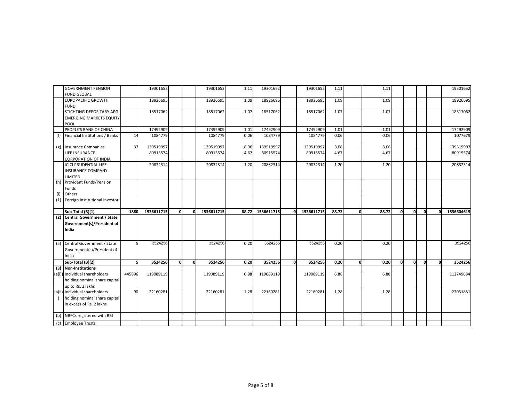|     | <b>GOVERNMENT PENSION</b>          |                | 19301652   |              |    | 19301652   | 1.11  | 19301652   |    | 19301652   | 1.11  |   | 1.11  |   |    |    |          | 19301652   |
|-----|------------------------------------|----------------|------------|--------------|----|------------|-------|------------|----|------------|-------|---|-------|---|----|----|----------|------------|
|     | <b>FUND GLOBAL</b>                 |                |            |              |    |            |       |            |    |            |       |   |       |   |    |    |          |            |
|     | <b>EUROPACIFIC GROWTH</b>          |                | 18926695   |              |    | 18926695   | 1.09  | 18926695   |    | 18926695   | 1.09  |   | 1.09  |   |    |    |          | 18926695   |
|     | <b>FUND</b>                        |                |            |              |    |            |       |            |    |            |       |   |       |   |    |    |          |            |
|     | STICHTING DEPOSITARY APG           |                | 18517062   |              |    | 18517062   | 1.07  | 18517062   |    | 18517062   | 1.07  |   | 1.07  |   |    |    |          | 18517062   |
|     | <b>EMERGING MARKETS EQUITY</b>     |                |            |              |    |            |       |            |    |            |       |   |       |   |    |    |          |            |
|     | <b>POOL</b>                        |                |            |              |    |            |       |            |    |            |       |   |       |   |    |    |          |            |
|     | PEOPLE'S BANK OF CHINA             |                | 17492909   |              |    | 17492909   | 1.01  | 17492909   |    | 17492909   | 1.01  |   | 1.01  |   |    |    |          | 17492909   |
| (f) | Financial Institutions / Banks     | 14             | 1084779    |              |    | 1084779    | 0.06  | 1084779    |    | 1084779    | 0.06  |   | 0.06  |   |    |    |          | 1077679    |
|     | (g) Insurance Companies            | 37             | 139519997  |              |    | 139519997  | 8.06  | 139519997  |    | 139519997  | 8.06  |   | 8.06  |   |    |    |          | 139519997  |
|     | LIFE INSURANCE                     |                | 80915574   |              |    | 80915574   | 4.67  | 80915574   |    | 80915574   | 4.67  |   | 4.67  |   |    |    |          | 80915574   |
|     | <b>CORPORATION OF INDIA</b>        |                |            |              |    |            |       |            |    |            |       |   |       |   |    |    |          |            |
|     | <b>ICICI PRUDENTIAL LIFE</b>       |                | 20832314   |              |    | 20832314   | 1.20  | 20832314   |    | 20832314   | 1.20  |   | 1.20  |   |    |    |          | 20832314   |
|     | <b>INSURANCE COMPANY</b>           |                |            |              |    |            |       |            |    |            |       |   |       |   |    |    |          |            |
|     | LIMITED                            |                |            |              |    |            |       |            |    |            |       |   |       |   |    |    |          |            |
|     | (h) Provident Funds/Pension        |                |            |              |    |            |       |            |    |            |       |   |       |   |    |    |          |            |
|     | <b>Funds</b>                       |                |            |              |    |            |       |            |    |            |       |   |       |   |    |    |          |            |
| (i) | <b>Others</b>                      |                |            |              |    |            |       |            |    |            |       |   |       |   |    |    |          |            |
|     | (1) Foreign Institutional Investor |                |            |              |    |            |       |            |    |            |       |   |       |   |    |    |          |            |
|     |                                    |                |            |              |    |            |       |            |    |            |       |   |       |   |    |    |          |            |
|     | Sub-Total (B)(1)                   | 1880           | 1536611715 | $\mathbf{0}$ | οl | 1536611715 | 88.72 | 1536611715 | οl | 1536611715 | 88.72 | 0 | 88.72 | 0 | οl | 0l | $\Omega$ | 1536604615 |
| (2) | <b>Central Government / State</b>  |                |            |              |    |            |       |            |    |            |       |   |       |   |    |    |          |            |
|     | Government(s)/President of         |                |            |              |    |            |       |            |    |            |       |   |       |   |    |    |          |            |
|     |                                    |                |            |              |    |            |       |            |    |            |       |   |       |   |    |    |          |            |
|     |                                    |                |            |              |    |            |       |            |    |            |       |   |       |   |    |    |          |            |
|     | India                              |                |            |              |    |            |       |            |    |            |       |   |       |   |    |    |          |            |
|     |                                    |                |            |              |    |            |       |            |    |            |       |   |       |   |    |    |          |            |
|     | (a) Central Government / State     | 51             | 3524256    |              |    | 3524256    | 0.20  | 3524256    |    | 3524256    | 0.20  |   | 0.20  |   |    |    |          | 3524256    |
|     | Government(s)/President of         |                |            |              |    |            |       |            |    |            |       |   |       |   |    |    |          |            |
|     | India                              |                |            |              |    |            |       |            |    |            |       |   |       |   |    |    |          |            |
|     | Sub-Total $(B)(2)$                 | 5 <sup>1</sup> | 3524256    | 0            | 0  | 3524256    | 0.20  | 3524256    | 0  | 3524256    | 0.20  | 0 | 0.20  | 0 | οl | 0  | 0        | 3524256    |
|     | (3) Non-Institutions               |                |            |              |    |            |       |            |    |            |       |   |       |   |    |    |          |            |
|     | (a(i)) Individual shareholders     | 445896         | 119089119  |              |    | 119089119  | 6.88  | 119089119  |    | 119089119  | 6.88  |   | 6.88  |   |    |    |          | 112749684  |
|     | holding nominal share capital      |                |            |              |    |            |       |            |    |            |       |   |       |   |    |    |          |            |
|     | up to Rs. 2 lakhs                  |                |            |              |    |            |       |            |    |            |       |   |       |   |    |    |          |            |
|     | (a(ii) Individual shareholders     | 90             | 22160281   |              |    | 22160281   | 1.28  | 22160281   |    | 22160281   | 1.28  |   | 1.28  |   |    |    |          | 22031881   |
|     |                                    |                |            |              |    |            |       |            |    |            |       |   |       |   |    |    |          |            |
|     | holding nominal share capital      |                |            |              |    |            |       |            |    |            |       |   |       |   |    |    |          |            |
|     | in excess of Rs. 2 lakhs           |                |            |              |    |            |       |            |    |            |       |   |       |   |    |    |          |            |
|     | (b) NBFCs registered with RBI      |                |            |              |    |            |       |            |    |            |       |   |       |   |    |    |          |            |
|     | (c) Employee Trusts                |                |            |              |    |            |       |            |    |            |       |   |       |   |    |    |          |            |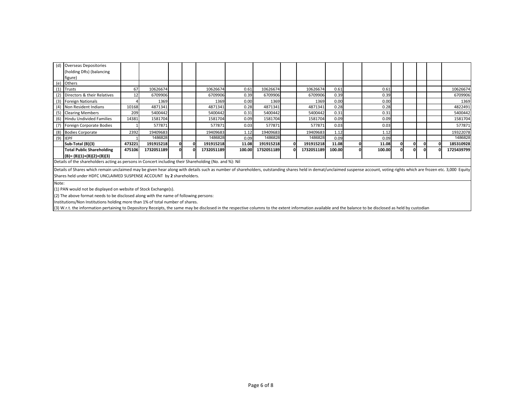| (d) Overseas Depositories                                                                               |                 |            |    |            |        |            |    |            |                   |        |    |    |            |
|---------------------------------------------------------------------------------------------------------|-----------------|------------|----|------------|--------|------------|----|------------|-------------------|--------|----|----|------------|
| (holding DRs) (balancing                                                                                |                 |            |    |            |        |            |    |            |                   |        |    |    |            |
| figure)                                                                                                 |                 |            |    |            |        |            |    |            |                   |        |    |    |            |
| (e) Others                                                                                              |                 |            |    |            |        |            |    |            |                   |        |    |    |            |
| $(1)$ Trusts                                                                                            | 67              | 10626674   |    | 10626674   | 0.61   | 10626674   |    | 10626674   | 0.61              | 0.61   |    |    | 10626674   |
| (2) Directors & their Relatives                                                                         | 12 <sup>1</sup> | 6709906    |    | 6709906    | 0.39   | 6709906    |    | 6709906    | 0.39              | 0.39   |    |    | 6709906    |
| (3) Foreign Nationals                                                                                   |                 | 1369       |    | 1369       | 0.00   | 1369       |    | 1369       | 0.00              | 0.00   |    |    | 1369       |
| (4) Non Resident Indians                                                                                | 10168           | 4871341    |    | 4871341    | 0.28   | 4871341    |    | 4871341    | 0.28              | 0.28   |    |    | 4822491    |
| (5) Clearing Members                                                                                    | 209             | 5400442    |    | 5400442    | 0.31   | 5400442    |    | 5400442    | 0.31              | 0.31   |    |    | 5400442    |
| (6) Hindu Undivided Families                                                                            | 14381           | 1581704    |    | 1581704    | 0.09   | 1581704    |    | 1581704    | 0.09 <sub>l</sub> | 0.09   |    |    | 1581704    |
| (7) Foreign Corporate Bodies                                                                            |                 | 577871     |    | 577871     | 0.03   | 577871     |    | 577871     | 0.03              | 0.03   |    |    | 577871     |
| (8) Bodies Corporate                                                                                    | 2392            | 19409683   |    | 19409683   | 1.12   | 19409683   |    | 19409683   | 1.12              | 1.12   |    |    | 19322078   |
| $(9)$ IEPF                                                                                              |                 | 1486828    |    | 1486828    | 0.09   | 1486828    |    | 1486828    | 0.09              | 0.09   |    |    | 1486828    |
| Sub-Total (B)(3)                                                                                        | 473221          | 191915218  | ΩI | 191915218  | 11.08  | 191915218  | 01 | 191915218  | 11.08             | 11.08  | Οl | 01 | 185310928  |
| <b>Total Public Shareholding</b>                                                                        | 475106          | 1732051189 | ΩI | 1732051189 | 100.00 | 1732051189 | 01 | 1732051189 | 100.00            | 100.00 | ΩI | ΩI | 1725439799 |
| $(B) = (B)(1)+(B)(2)+(B)(3)$                                                                            |                 |            |    |            |        |            |    |            |                   |        |    |    |            |
| [Details of the shareholders acting as persons in Concert including their Shareholding (No. and %): Nil |                 |            |    |            |        |            |    |            |                   |        |    |    |            |

Details of Shares which remain unclaimed may be given hear along with details such as number of shareholders, outstanding shares held in demat/unclaimed suspense account, voting rights which are frozen etc. 3,000 Equity Shares held under HDFC UNCLAIMED SUSPENSE ACCOUNT by **2** shareholders.

Note:

(1) PAN would not be displayed on website of Stock Exchange(s).

(2) The above format needs to be disclosed along with the name of following persons:

Institutions/Non Institutions holding more than 1% of total number of shares.

(3) W.r.t. the information pertaining to Depository Receipts, the same may be disclosed in the respective columns to the extent information available and the balance to be disclosed as held by custodian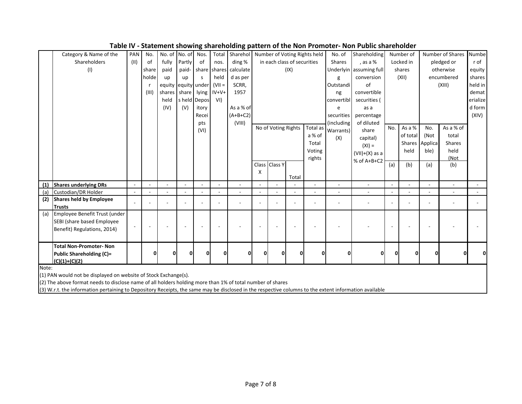|       |                                                                                                                                                       |        |       |        |               |              |                | ог         |   |                     |                             |                              |                          |                         |     |           |                |                  |          |
|-------|-------------------------------------------------------------------------------------------------------------------------------------------------------|--------|-------|--------|---------------|--------------|----------------|------------|---|---------------------|-----------------------------|------------------------------|--------------------------|-------------------------|-----|-----------|----------------|------------------|----------|
|       | Category & Name of the                                                                                                                                | PAN    | No.   |        | No. of No. of | Nos.         | Total          | Sharehol   |   |                     |                             | Number of Voting Rights held | No. of                   | Shareholding            |     | Number of |                | Number of Shares | Numbe    |
|       | Shareholders                                                                                                                                          | (II)   | оf    | fully  | Partly        | of           | nos.           | ding %     |   |                     | in each class of securities |                              | <b>Shares</b>            | , as a %                |     | Locked in |                | pledged or       | r of     |
|       | (1)                                                                                                                                                   |        | share | paid   | paid-         | share        | shares         | calculate  |   |                     | (IX)                        |                              |                          | Underlyin assuming full |     | shares    |                | otherwise        | equity   |
|       |                                                                                                                                                       |        | holde | up     | up            | s            | held           | d as per   |   |                     |                             |                              | g                        | conversion              |     | (XII)     |                | encumbered       | shares   |
|       |                                                                                                                                                       |        |       | equity | equity under  |              | $(VII =$       | SCRR,      |   |                     |                             |                              | Outstandi                | of                      |     |           |                | (XIII)           | held in  |
|       |                                                                                                                                                       |        | (III) | shares | share         | lying        | $IV+V+$        | 1957       |   |                     |                             |                              | ng                       | convertible             |     |           |                |                  | demat    |
|       |                                                                                                                                                       |        |       | held   |               | s held Depos | VI)            |            |   |                     |                             |                              | convertibl               | securities (            |     |           |                |                  | erialize |
|       |                                                                                                                                                       |        |       | (IV)   | (V)           | itory        |                | As a % of  |   |                     |                             |                              | e                        | as a                    |     |           |                |                  | d form   |
|       |                                                                                                                                                       |        |       |        |               | Recei        |                | $(A+B+C2)$ |   |                     |                             |                              | securities               | percentage              |     |           |                |                  | (XIV)    |
|       |                                                                                                                                                       |        |       |        |               | pts          |                | (VIII)     |   |                     |                             |                              | (including               | of diluted              |     |           |                |                  |          |
|       |                                                                                                                                                       |        |       |        |               | (VI)         |                |            |   | No of Voting Rights |                             | Total as                     | Warrants)                | share                   | No. | As a %    | No.            | As a % of        |          |
|       |                                                                                                                                                       |        |       |        |               |              |                |            |   |                     |                             | a % of                       | (X)                      | capital)                |     | of total  | (Not           | total            |          |
|       |                                                                                                                                                       |        |       |        |               |              |                |            |   |                     |                             | Total                        |                          | $(XI) =$                |     |           | Shares Applica | <b>Shares</b>    |          |
|       |                                                                                                                                                       |        |       |        |               |              |                |            |   |                     |                             | Voting                       |                          | $(VII)+(X)$ as a        |     | held      | ble)           | held             |          |
|       |                                                                                                                                                       |        |       |        |               |              |                |            |   |                     |                             | rights                       |                          | % of A+B+C2             |     |           |                | (Not             |          |
|       |                                                                                                                                                       |        |       |        |               |              |                |            |   | Class Class Y       |                             |                              |                          |                         | (a) | (b)       | (a)            | (b)              |          |
|       |                                                                                                                                                       |        |       |        |               |              |                |            | X |                     | Total                       |                              |                          |                         |     |           |                |                  |          |
| (1)   | <b>Shares underlying DRs</b>                                                                                                                          | $\sim$ |       |        |               |              |                |            |   |                     |                             |                              | L,                       |                         |     |           |                |                  |          |
| (a)   | Custodian/DR Holder                                                                                                                                   | $\sim$ |       |        |               |              | $\blacksquare$ |            |   |                     |                             | $\sim$                       | $\overline{\phantom{a}}$ |                         |     |           |                |                  |          |
| (2)   | <b>Shares held by Employee</b>                                                                                                                        |        |       |        |               |              |                |            |   |                     |                             |                              |                          |                         |     |           |                |                  |          |
|       | <b>Trusts</b>                                                                                                                                         | ÷      |       |        |               |              |                |            |   |                     |                             |                              |                          |                         |     |           |                |                  |          |
| (a)   | Employee Benefit Trust (under                                                                                                                         |        |       |        |               |              |                |            |   |                     |                             |                              |                          |                         |     |           |                |                  |          |
|       | SEBI (share based Employee                                                                                                                            |        |       |        |               |              |                |            |   |                     |                             |                              |                          |                         |     |           |                |                  |          |
|       | Benefit) Regulations, 2014)                                                                                                                           |        |       |        |               |              |                |            |   |                     |                             |                              |                          |                         |     |           |                |                  |          |
|       |                                                                                                                                                       |        |       |        |               |              |                |            |   |                     |                             |                              |                          |                         |     |           |                |                  |          |
|       | <b>Total Non-Promoter- Non</b>                                                                                                                        |        |       |        |               |              |                |            |   |                     |                             |                              |                          |                         |     |           |                |                  |          |
|       | <b>Public Shareholding (C)=</b>                                                                                                                       |        |       |        | O             |              | ŋ              |            | ŋ | O                   | $\mathbf{0}$                | O                            | 0                        | 0l                      | n   | 0         | ŋ              |                  |          |
|       | $(C)(1)+(C)(2)$                                                                                                                                       |        |       |        |               |              |                |            |   |                     |                             |                              |                          |                         |     |           |                |                  |          |
| Note: |                                                                                                                                                       |        |       |        |               |              |                |            |   |                     |                             |                              |                          |                         |     |           |                |                  |          |
|       | (1) PAN would not be displayed on website of Stock Exchange(s).                                                                                       |        |       |        |               |              |                |            |   |                     |                             |                              |                          |                         |     |           |                |                  |          |
|       | (2) The above format needs to disclose name of all holders holding more than 1% of total number of shares                                             |        |       |        |               |              |                |            |   |                     |                             |                              |                          |                         |     |           |                |                  |          |
|       | (3) W.r.t. the information pertaining to Depository Receipts, the same may be disclosed in the respective columns to the extent information available |        |       |        |               |              |                |            |   |                     |                             |                              |                          |                         |     |           |                |                  |          |

**Table IV - Statement showing shareholding pattern of the Non Promoter- Non Public shareholder**